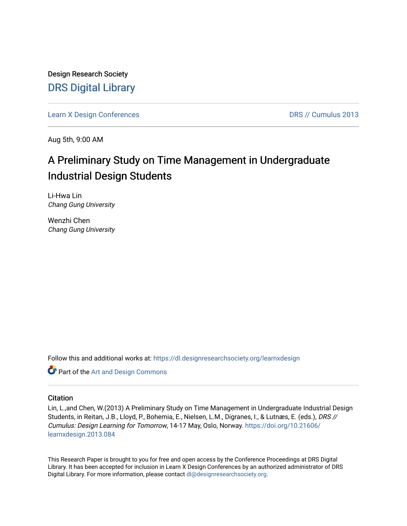Design Research Society [DRS Digital Library](https://dl.designresearchsociety.org/)

[Learn X Design Conferences](https://dl.designresearchsociety.org/learnxdesign) **DRS // Cumulus 2013** 

Aug 5th, 9:00 AM

# A Preliminary Study on Time Management in Undergraduate Industrial Design Students

Li-Hwa Lin Chang Gung University

Wenzhi Chen Chang Gung University

Follow this and additional works at: [https://dl.designresearchsociety.org/learnxdesign](https://dl.designresearchsociety.org/learnxdesign?utm_source=dl.designresearchsociety.org%2Flearnxdesign%2Flearnxdesign2013%2Fresearchpapers%2F83&utm_medium=PDF&utm_campaign=PDFCoverPages)

Part of the [Art and Design Commons](http://network.bepress.com/hgg/discipline/1049?utm_source=dl.designresearchsociety.org%2Flearnxdesign%2Flearnxdesign2013%2Fresearchpapers%2F83&utm_medium=PDF&utm_campaign=PDFCoverPages)

### **Citation**

Lin, L.,and Chen, W.(2013) A Preliminary Study on Time Management in Undergraduate Industrial Design Students, in Reitan, J.B., Lloyd, P., Bohemia, E., Nielsen, L.M., Digranes, I., & Lutnæs, E. (eds.), DRS // Cumulus: Design Learning for Tomorrow, 14-17 May, Oslo, Norway. [https://doi.org/10.21606/](https://doi.org/10.21606/learnxdesign.2013.084) [learnxdesign.2013.084](https://doi.org/10.21606/learnxdesign.2013.084)

This Research Paper is brought to you for free and open access by the Conference Proceedings at DRS Digital Library. It has been accepted for inclusion in Learn X Design Conferences by an authorized administrator of DRS Digital Library. For more information, please contact [dl@designresearchsociety.org](mailto:dl@designresearchsociety.org).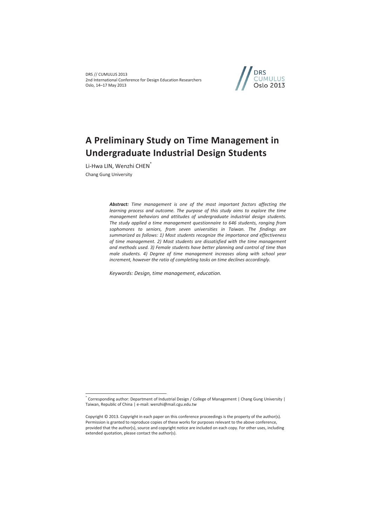DRS // CUMULUS 2013 2nd International Conference for Design Education Researchers Oslo, 14–17 May 2013



# **A Preliminary Study on Time Management in Undergraduate Industrial Design Students**

Li-Hwa LIN, Wenzhi CHEN<sup>\*</sup> Chang Gung University

 $\overline{a}$ 

*Abstract: Time management is one of the most important factors affecting the learning process and outcome. The purpose of this study aims to explore the time management behaviors and attitudes of undergraduate industrial design students. The study applied a time management questionnaire to 646 students, ranging from sophomores to seniors, from seven universities in Taiwan. The findings are summarized as follows: 1) Most students recognize the importance and effectiveness of time management. 2) Most students are dissatisfied with the time management and methods used. 3) Female students have better planning and control of time than male students. 4) Degree of time management increases along with school year increment, however the ratio of completing tasks on time declines accordingly.* 

*Keywords: Design, time management, education.* 

<sup>\*</sup> Corresponding author: Department of Industrial Design / College of Management | Chang Gung University | Taiwan, Republic of China | e-mail: wenzhi@mail.cgu.edu.tw

Copyright © 2013. Copyright in each paper on this conference proceedings is the property of the author(s). Permission is granted to reproduce copies of these works for purposes relevant to the above conference, provided that the author(s), source and copyright notice are included on each copy. For other uses, including extended quotation, please contact the author(s).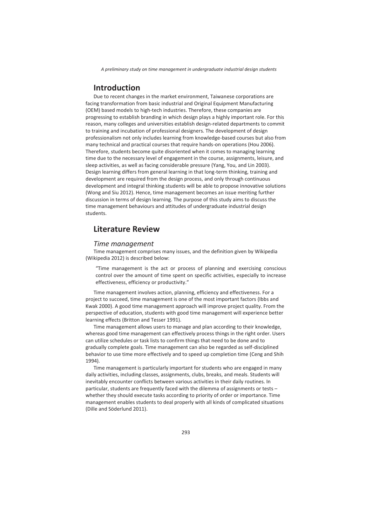## **Introduction**

Due to recent changes in the market environment, Taiwanese corporations are facing transformation from basic industrial and Original Equipment Manufacturing (OEM) based models to high-tech industries. Therefore, these companies are progressing to establish branding in which design plays a highly important role. For this reason, many colleges and universities establish design-related departments to commit to training and incubation of professional designers. The development of design professionalism not only includes learning from knowledge-based courses but also from many technical and practical courses that require hands-on operations (Hou 2006). Therefore, students become quite disoriented when it comes to managing learning time due to the necessary level of engagement in the course, assignments, leisure, and sleep activities, as well as facing considerable pressure (Yang, You, and Lin 2003). Design learning differs from general learning in that long-term thinking, training and development are required from the design process, and only through continuous development and integral thinking students will be able to propose innovative solutions (Wong and Siu 2012). Hence, time management becomes an issue meriting further discussion in terms of design learning. The purpose of this study aims to discuss the time management behaviours and attitudes of undergraduate industrial design students.

## **Literature Review**

### *Time management*

Time management comprises many issues, and the definition given by Wikipedia (Wikipedia 2012) is described below:

"Time management is the act or process of planning and exercising conscious control over the amount of time spent on specific activities, especially to increase effectiveness, efficiency or productivity."

Time management involves action, planning, efficiency and effectiveness. For a project to succeed, time management is one of the most important factors (Ibbs and Kwak 2000). A good time management approach will improve project quality. From the perspective of education, students with good time management will experience better learning effects (Britton and Tesser 1991).

Time management allows users to manage and plan according to their knowledge, whereas good time management can effectively process things in the right order. Users can utilize schedules or task lists to confirm things that need to be done and to gradually complete goals. Time management can also be regarded as self-disciplined behavior to use time more effectively and to speed up completion time (Ceng and Shih 1994).

Time management is particularly important for students who are engaged in many daily activities, including classes, assignments, clubs, breaks, and meals. Students will inevitably encounter conflicts between various activities in their daily routines. In particular, students are frequently faced with the dilemma of assignments or tests – whether they should execute tasks according to priority of order or importance. Time management enables students to deal properly with all kinds of complicated situations (Dille and Söderlund 2011).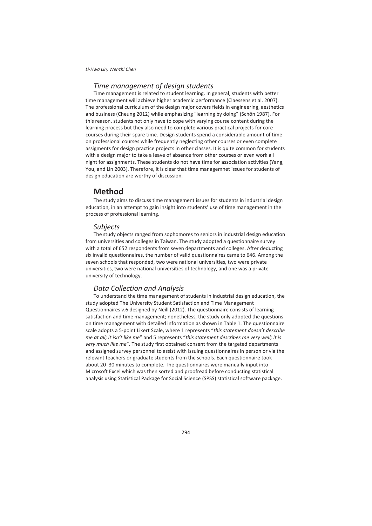## *Time management of design students*

Time management is related to student learning. In general, students with better time management will achieve higher academic performance (Claessens et al. 2007). The professional curriculum of the design major covers fields in engineering, aesthetics and business (Cheung 2012) while emphasizing "learning by doing" (Schön 1987). For this reason, students not only have to cope with varying course content during the learning process but they also need to complete various practical projects for core courses during their spare time. Design students spend a considerable amount of time on professional courses while frequently neglecting other courses or even complete assigments for design practice projects in other classes. It is quite common for students with a design major to take a leave of absence from other courses or even work all night for assignments. These students do not have time for association activities (Yang, You, and Lin 2003). Therefore, it is clear that time managemnet issues for students of design education are worthy of discussion.

## **Method**

The study aims to discuss time management issues for students in industrial design education, in an attempt to gain insight into students' use of time management in the process of professional learning.

### *Subjects*

The study objects ranged from sophomores to seniors in industrial design education from universities and colleges in Taiwan. The study adopted a questionnaire survey with a total of 652 respondents from seven departments and colleges. After deducting six invalid questionnaires, the number of valid questionnaires came to 646. Among the seven schools that responded, two were national universities, two were private universities, two were national universities of technology, and one was a private university of technology.

## *Data Collection and Analysis*

To understand the time management of students in industrial design education, the study adopted The University Student Satisfaction and Time Management Questionnaires v.6 designed by Neill (2012). The questionnaire consists of learning satisfaction and time management; nonetheless, the study only adopted the questions on time management with detailed information as shown in Table 1. The questionnaire scale adopts a 5-point Likert Scale, where 1 represents "*this statement doesn't describe me at all; it isn't like me*" and 5 represents "*this statement describes me very well; it is very much like me*". The study first obtained consent from the targeted departments and assigned survey personnel to assist with issuing questionnaires in person or via the relevant teachers or graduate students from the schools. Each questionnaire took about 20–30 minutes to complete. The questionnaires were manually input into Microsoft Excel which was then sorted and proofread before conducting statistical analysis using Statistical Package for Social Science (SPSS) statistical software package.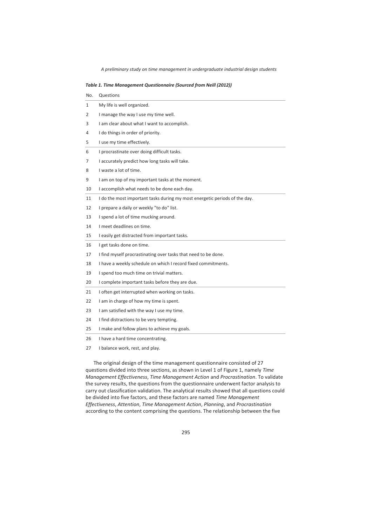|  |  |  | Table 1. Time Management Questionnaire (Sourced from Neill (2012)) |  |  |  |  |  |
|--|--|--|--------------------------------------------------------------------|--|--|--|--|--|
|--|--|--|--------------------------------------------------------------------|--|--|--|--|--|

| No. | Questions                                                                  |
|-----|----------------------------------------------------------------------------|
| 1   | My life is well organized.                                                 |
| 2   | I manage the way I use my time well.                                       |
| 3   | I am clear about what I want to accomplish.                                |
| 4   | I do things in order of priority.                                          |
| 5   | I use my time effectively.                                                 |
| 6   | I procrastinate over doing difficult tasks.                                |
| 7   | I accurately predict how long tasks will take.                             |
| 8   | I waste a lot of time.                                                     |
| 9   | I am on top of my important tasks at the moment.                           |
| 10  | I accomplish what needs to be done each day.                               |
| 11  | I do the most important tasks during my most energetic periods of the day. |
| 12  | I prepare a daily or weekly "to do" list.                                  |
| 13  | I spend a lot of time mucking around.                                      |
| 14  | I meet deadlines on time.                                                  |
| 15  | I easily get distracted from important tasks.                              |
| 16  | I get tasks done on time.                                                  |
| 17  | I find myself procrastinating over tasks that need to be done.             |
| 18  | I have a weekly schedule on which I record fixed commitments.              |
| 19  | I spend too much time on trivial matters.                                  |
| 20  | I complete important tasks before they are due.                            |
| 21  | I often get interrupted when working on tasks.                             |
| 22  | I am in charge of how my time is spent.                                    |
| 23  | I am satisfied with the way I use my time.                                 |
| 24  | I find distractions to be very tempting.                                   |
| 25  | I make and follow plans to achieve my goals.                               |
| 26  | I have a hard time concentrating.                                          |
| 27  | I balance work, rest, and play.                                            |
|     |                                                                            |

The original design of the time management questionnaire consisted of 27 questions divided into three sections, as shown in Level 1 of Figure 1, namely *Time Management Effectiveness*, *Time Management Action* and *Procrastination*. To validate the survey results, the questions from the questionnaire underwent factor analysis to carry out classification validation. The analytical results showed that all questions could be divided into five factors, and these factors are named *Time Management Effectiveness*, *Attention*, *Time Management Action*, *Planning*, and *Procrastination* according to the content comprising the questions. The relationship between the five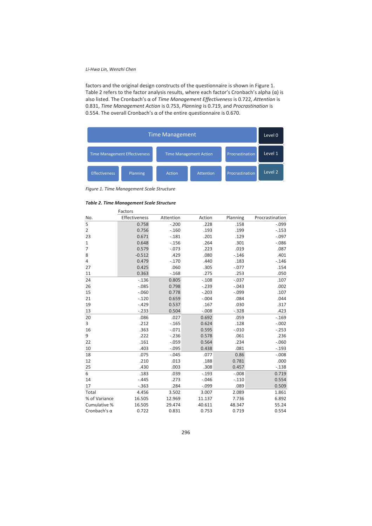factors and the original design constructs of the questionnaire is shown in Figure 1. Table 2 refers to the factor analysis results, where each factor's Cronbach's alpha  $(\alpha)$  is also listed. The Cronbach's α of *Time Management Effectiveness* is 0.722, *Attention* is 0.831, *Time Management Action* is 0.753, *Planning* is 0.719, and *Procrastination* is 0.554. The overall Cronbach's α of the entire questionnaire is 0.670.



*Figure 1. Time Management Scale Structure* 

*Table 2. Time Management Scale Structure* 

|                     | Factors       |           |          |          |                 |
|---------------------|---------------|-----------|----------|----------|-----------------|
| No.                 | Effectiveness | Attention | Action   | Planning | Procrastination |
| 5                   | 0.758         | $-.200$   | .228     | .158     | $-.099$         |
| $\overline{2}$      | 0.756         | $-.160$   | .193     | .199     | $-.153$         |
| 23                  | 0.671         | $-.181$   | .201     | .129     | $-.097$         |
| 1                   | 0.648         | $-.156$   | .264     | .301     | $-0.086$        |
| $\overline{7}$      | 0.579         | $-0.073$  | .223     | .019     | .087            |
| 8                   | $-0.512$      | .429      | .080     | $-.146$  | .401            |
| 4                   | 0.479         | $-.170$   | .440     | .183     | $-0.146$        |
| 27                  | 0.425         | .060      | .305     | $-.077$  | .154            |
| 11                  | 0.363         | $-.168$   | .275     | .253     | .050            |
| 24                  | $-0.136$      | 0.805     | $-.108$  | $-.037$  | .107            |
| 26                  | $-0.085$      | 0.798     | $-0.239$ | $-.043$  | .002            |
| 15                  | $-0.060$      | 0.778     | $-.203$  | $-.099$  | .107            |
| 21                  | $-.120$       | 0.659     | $-.004$  | .084     | .044            |
| 19                  | $-.429$       | 0.537     | .167     | .030     | .317            |
| 13                  | $-.233$       | 0.504     | $-.008$  | $-0.328$ | .423            |
| 20                  | .086          | .027      | 0.692    | .059     | $-0.169$        |
| 3                   | .212          | $-0.165$  | 0.624    | .128     | $-.002$         |
| 16                  | .363          | $-.071$   | 0.595    | $-.010$  | $-0.253$        |
| 9                   | .222          | $-236$    | 0.578    | .061     | .236            |
| 22                  | .161          | $-.059$   | 0.564    | .234     | $-.060$         |
| 10                  | .403          | $-0.095$  | 0.438    | .081     | $-.193$         |
| 18                  | .075          | $-.045$   | .077     | 0.86     | $-.008$         |
| 12                  | .210          | .013      | .188     | 0.781    | .000            |
| 25                  | .430          | .003      | .308     | 0.457    | $-0.138$        |
| 6                   | .183          | .039      | $-.193$  | $-0.008$ | 0.719           |
| 14                  | $-.445$       | .273      | $-.046$  | $-.110$  | 0.554           |
| 17                  | $-0.363$      | .284      | $-.099$  | .089     | 0.509           |
| Total               | 4.456         | 3.502     | 3.007    | 2.089    | 1.861           |
| % of Variance       | 16.505        | 12.969    | 11.137   | 7.736    | 6.892           |
| Cumulative %        | 16.505        | 29.474    | 40.611   | 48.347   | 55.24           |
| Cronbach's $\alpha$ | 0.722         | 0.831     | 0.753    | 0.719    | 0.554           |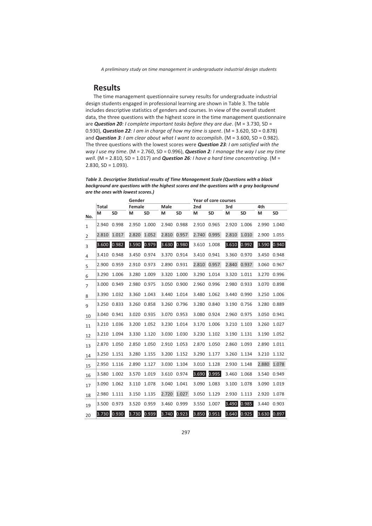## **Results**

The time management questionnaire survey results for undergraduate industrial design students engaged in professional learning are shown in Table 3. The table includes descriptive statistics of genders and courses. In view of the overall student data, the three questions with the highest score in the time management questionnaire are *Question 20: I complete important tasks before they are due*. (M = 3.730, SD = 0.930), *Question 22: I am in charge of how my time is spent*. (M = 3.620, SD = 0.878) and *Question 3: I am clear about what I want to accomplish*. (M = 3.600, SD = 0.982). The three questions with the lowest scores were *Question 23: I am satisfied with the way I use my time*. (M = 2.760, SD = 0.996), *Question 2: I manage the way I use my time well*. (M = 2.810, SD = 1.017) and *Question 26: I have a hard time concentrating*. (M =  $2.830, SD = 1.093$ ).

| Table 3. Descriptive Statistical results of Time Management Scale (Questions with a black |
|-------------------------------------------------------------------------------------------|
| backaround are auestions with the hiahest scores and the auestions with a aray backaround |
| are the ones with lowest scores.)                                                         |

|                |              | Gender<br>Year of core courses |                       |           |                        |             |       |           |       |           |             |           |
|----------------|--------------|--------------------------------|-----------------------|-----------|------------------------|-------------|-------|-----------|-------|-----------|-------------|-----------|
|                | <b>Total</b> |                                | Female<br><b>Male</b> |           | 2 <sub>nd</sub><br>3rd |             |       | 4th       |       |           |             |           |
| No.            | M            | <b>SD</b>                      | м                     | <b>SD</b> | м                      | <b>SD</b>   | М     | <b>SD</b> | м     | <b>SD</b> | M           | <b>SD</b> |
| $\mathbf{1}$   | 2.940        | 0.998                          | 2.950                 | 1.000     | 2.940                  | 0.988       | 2.910 | 0.965     | 2.920 | 1.006     | 2.990       | 1.040     |
| $\overline{2}$ | 2.810        | 1.017                          | 2.820                 | 1.052     | 2.810                  | 0.957       | 2.740 | 0.995     | 2.810 | 1.010     | 2.900       | 1.055     |
| 3              | 3.600        | 0.982                          | 3.590                 | 0.979     | 3.630                  | 0.980       | 3.610 | 1.008     | 3.610 | 0.992     | 3.590       | 0.940     |
| $\overline{4}$ | 3.410        | 0.948                          | 3.450                 | 0.974     |                        | 3.370 0.914 | 3.410 | 0.941     | 3.360 | 0.970     | 3.450       | 0.948     |
| 5              | 2.900        | 0.959                          | 2.910                 | 0.973     | 2.890                  | 0.931       | 2.810 | 0.957     | 2.840 | 0.937     | 3.060       | 0.967     |
| 6              | 3.290        | 1.006                          | 3.280                 | 1.009     | 3.320                  | 1.000       | 3.290 | 1.014     | 3.320 | 1.011     | 3.270 0.996 |           |
| $\overline{7}$ | 3.000        | 0.949                          | 2.980                 | 0.975     | 3.050 0.900            |             | 2.960 | 0.996     | 2.980 | 0.933     | 3.070       | 0.898     |
| 8              | 3.390        | 1.032                          | 3.360                 | 1.043     | 3.440                  | 1.014       | 3.480 | 1.062     | 3.440 | 0.990     | 3.250       | 1.006     |
| 9              | 3.250        | 0.833                          | 3.260                 | 0.858     | 3.260 0.796            |             | 3.280 | 0.840     | 3.190 | 0.756     | 3.280 0.889 |           |
| 10             | 3.040 0.941  |                                | 3.020                 | 0.935     | 3.070                  | 0.953       | 3.080 | 0.924     | 2.960 | 0.975     | 3.050 0.941 |           |
| 11             | 3.210        | 1.036                          | 3.200                 | 1.052     | 3.230                  | 1.014       | 3.170 | 1.006     | 3.210 | 1.103     | 3.260       | 1.027     |
| 12             | 3.210        | 1.094                          | 3.330                 | 1.120     | 3.030                  | 1.030       | 3.230 | 1.102     | 3.190 | 1.131     | 3.190       | 1.052     |
| 13             | 2.870        | 1.050                          | 2.850                 | 1.050     | 2.910                  | 1.053       | 2.870 | 1.050     | 2.860 | 1.093     | 2.890       | 1.011     |
| 14             | 3.250        | 1.151                          | 3.280                 | 1.155     | 3.200                  | 1.152       | 3.290 | 1.177     | 3.260 | 1.134     | 3.210       | 1.132     |
| 15             | 2.950        | 1.116                          | 2.890                 | 1.127     | 3.030                  | 1.104       | 3.010 | 1.128     | 2.930 | 1.148     | 2.880       | 1.078     |
| 16             | 3.580        | 1.002                          | 3.570                 | 1.019     |                        | 3.610 0.974 | 3.690 | 0.995     | 3.460 | 1.068     | 3.540       | 0.949     |
| 17             | 3.090        | 1.062                          | 3.110                 | 1.078     | 3.040                  | 1.041       | 3.090 | 1.083     | 3.100 | 1.078     | 3.090       | 1.019     |
| 18             | 2.980        | 1.111                          | 3.150                 | 1.135     | 2.720                  | 1.027       | 3.050 | 1.129     | 2.930 | 1.113     | 2.920       | 1.078     |
| 19             |              | 3.500 0.973                    | 3.520                 | 0.959     | 3.460                  | 0.999       | 3.550 | 1.007     | 3.490 | 0.985     | 3.440       | 0.903     |
| 20             | 3.730        | 0.930                          | 3.730                 | 0.939     | 3.740                  | 0.923       | 3.850 | 0.951     | 3.640 | 0.925     | 3.630       | 0.897     |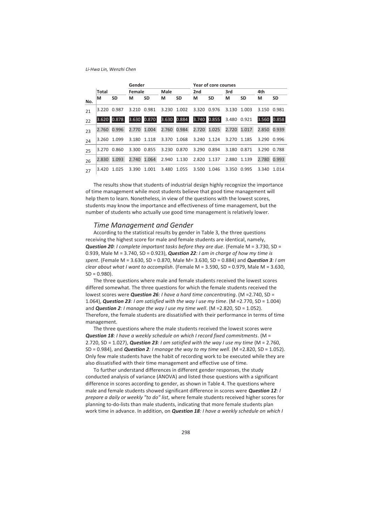|     |              |           | Gender |             |       |             | Year of core courses |             |             |             |             |           |  |
|-----|--------------|-----------|--------|-------------|-------|-------------|----------------------|-------------|-------------|-------------|-------------|-----------|--|
|     | <b>Total</b> |           | Female |             | Male  |             | 2nd                  |             | 3rd         |             | 4th         |           |  |
| No. | м            | <b>SD</b> | м      | <b>SD</b>   | М     | <b>SD</b>   | м                    | <b>SD</b>   | М           | <b>SD</b>   | м           | <b>SD</b> |  |
| 21  | 3.220        | 0.987     |        | 3.210 0.981 | 3.230 | 1.002       |                      | 3.320 0.976 |             | 3.130 1.003 | 3.150 0.981 |           |  |
| 22  | 3.620        | 0.878     | 3.630  | 0.870       |       | 3.630 0.884 |                      | 3.740 0.855 |             | 3.480 0.921 | 3.560       | 0.858     |  |
| 23  | 2.760        | 0.996     | 2.770  | 1.004       |       | 2.760 0.984 |                      | 2.720 1.025 |             | 2.720 1.017 | 2.850 0.939 |           |  |
| 24  | 3.260        | 1.099     |        | 3.180 1.118 |       | 3.370 1.068 | 3.240                | 1.124       |             | 3.270 1.185 | 3.290       | 0.996     |  |
| 25  | 3.270        | 0.860     | 3.300  | 0.855       |       | 3.230 0.870 |                      | 3.290 0.894 | 3.180 0.871 |             | 3.290       | 0.788     |  |
| 26  | 2.830        | 1.093     | 2.740  | 1.064       |       | 2.940 1.130 | 2.820                | 1.137       | 2.880 1.139 |             | 2.780       | 0.993     |  |
| 27  | 3.420        | 1.025     | 3.390  | 1.001       | 3.480 | 1.055       | 3.500                | 1.046       | 3.350       | 0.995       | 3.340       | 1.014     |  |

The results show that students of industrial design highly recognize the importance of time management while most students believe that good time management will help them to learn. Nonetheless, in view of the questions with the lowest scores, students may know the importance and effectiveness of time management, but the number of students who actually use good time management is relatively lower.

### *Time Management and Gender*

According to the statistical results by gender in Table 3, the three questions receiving the highest score for male and female students are identical, namely, *Question 20: I complete important tasks before they are due*. (Female M = 3.730, SD = 0.939, Male M = 3.740, SD = 0.923), *Question 22: I am in charge of how my time is spent*. (Female M = 3.630, SD = 0.870, Male M= 3.630, SD = 0.884) and *Question 3: I am clear about what I want to accomplish*. (Female M = 3.590, SD = 0.979, Male M = 3.630,  $SD = 0.980$ ).

The three questions where male and female students received the lowest scores differed somewhat. The three questions for which the female students received the lowest scores were *Question 26: I have a hard time concentrating*. (M =2.740, SD = 1.064), *Question 23: I am satisfied with the way I use my time*. (M =2.770, SD = 1.004) and **Question 2**: *I manage the way I use my time well.* (M = 2.820, SD = 1.052). Therefore, the female students are dissatisfied with their performance in terms of time management.

The three questions where the male students received the lowest scores were *Question 18: I have a weekly schedule on which I record fixed commitments*. (M = 2.720, SD = 1.027), *Question 23: I am satisfied with the way I use my time* (M = 2.760, SD = 0.984), and *Question 2: I manage the way to my time well*. (M =2.820, SD = 1.052). Only few male students have the habit of recording work to be executed while they are also dissatisfied with their time management and effective use of time.

To further understand differences in different gender responses, the study conducted analysis of variance (ANOVA) and listed those questions with a significant difference in scores according to gender, as shown in Table 4. The questions where male and female students showed significant difference in scores were *Question 12: I prepare a daily or weekly "to do" list*, where female students received higher scores for planning to-do-lists than male students, indicating that more female students plan work time in advance. In addition, on *Question 18: I have a weekly schedule on which I*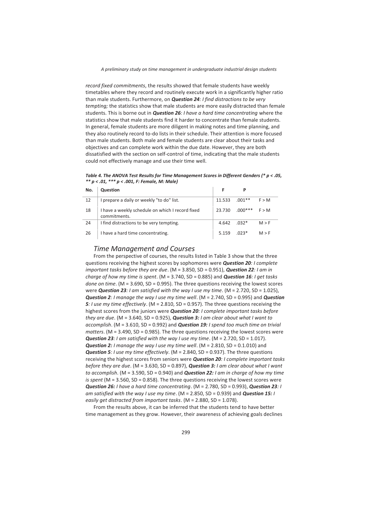*record fixed commitments*, the results showed that female students have weekly timetables where they record and routinely execute work in a significantly higher ratio than male students. Furthermore, on *Question 24: I find distractions to be very tempting;* the statistics show that male students are more easily distracted than female students. This is borne out in *Question 26: I have a hard time concentrating* where the statistics show that male students find it harder to concentrate than female students. In general, female students are more diligent in making notes and time planning, and they also routinely record to-do lists in their schedule. Their attention is more focused than male students. Both male and female students are clear about their tasks and objectives and can complete work within the due date. However, they are both dissatisfied with the section on self-control of time, indicating that the male students could not effectively manage and use their time well.

*Table 4. The ANOVA Test Results for Time Management Scores in Different Genders (\* p < .05, \*\* p < .01, \*\*\* p < .001, F: Female, M: Male)* 

| No. | <b>Question</b>                                                  |        |           |       |
|-----|------------------------------------------------------------------|--------|-----------|-------|
| 12  | I prepare a daily or weekly "to do" list.                        | 11.533 | $.001**$  | F > M |
| 18  | I have a weekly schedule on which I record fixed<br>commitments. | 23.730 | $.000***$ | F > M |
| 24  | I find distractions to be very tempting.                         | 4.642  | $.032*$   | M > F |
| 26  | I have a hard time concentrating.                                | 5.159  | $.023*$   | M > F |

### *Time Management and Courses*

From the perspective of courses, the results listed in Table 3 show that the three questions receiving the highest scores by sophomores were *Question 20: I complete important tasks before they are due*. (M = 3.850, SD = 0.951), *Question 22: I am in charge of how my time is spent*. (M = 3.740, SD = 0.885) and *Question 16: I get tasks done on time*. (M = 3.690, SD = 0.995). The three questions receiving the lowest scores were *Question 23: I am satisfied with the way I use my time*. (M = 2.720, SD = 1.025), *Question 2: I manage the way I use my time well*. (M = 2.740, SD = 0.995) and *Question 5: I use my time effectively*. (M = 2.810, SD = 0.957). The three questions receiving the highest scores from the juniors were *Question 20: I complete important tasks before they are due*. (M = 3.640, SD = 0.925), *Question 3: I am clear about what I want to accomplish*. (M = 3.610, SD = 0.992) and *Question 19: I spend too much time on trivial matters*. (M = 3.490, SD = 0.985). The three questions receiving the lowest scores were *Question 23: I am satisfied with the way I use my time*. (M = 2.720, SD = 1.017). *Question 2: I manage the way I use my time well*. (M = 2.810, SD = 0.1.010) and *Question 5: I use my time effectively*. (M = 2.840, SD = 0.937). The three questions receiving the highest scores from seniors were *Question 20: I complete important tasks before they are due*. (M = 3.630, SD = 0.897), *Question 3: I am clear about what I want to accomplish*. (M = 3.590, SD = 0.940) and *Question 22: I am in charge of how my time is spent* (M = 3.560, SD = 0.858). The three questions receiving the lowest scores were *Question 26: I have a hard time concentrating*. (M = 2.780, SD = 0.993), *Question 23: I am satisfied with the way I use my time*. (M = 2.850, SD = 0.939) and *Question 15: I easily get distracted from important tasks*. (M = 2.880, SD = 1.078).

From the results above, it can be inferred that the students tend to have better time management as they grow. However, their awareness of achieving goals declines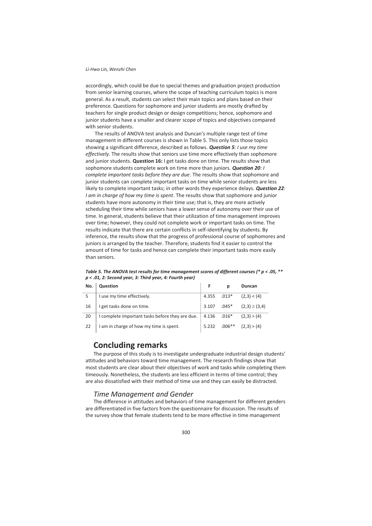accordingly, which could be due to special themes and graduation project production from senior learning courses, where the scope of teaching curriculum topics is more general. As a result, students can select their main topics and plans based on their preference. Questions for sophomore and junior students are mostly drafted by teachers for single product design or design competitions; hence, sophomore and junior students have a smaller and clearer scope of topics and objectives compared with senior students.

 The results of ANOVA test analysis and Duncan's multiple range test of time management in different courses is shown in Table 5. This only lists those topics showing a significant difference, described as follows. *Question 5: I use my time effectively*. The results show that seniors use time more effectively than sophomore and junior students. **Question 16:** I get tasks done on time. The results show that sophomore students complete work on time more than juniors. *Question 20: I complete important tasks before they are due*. The results show that sophomore and junior students can complete important tasks on time while senior students are less likely to complete important tasks; in other words they experience delays. *Question 22: I am in charge of how my time is spent*. The results show that sophomore and junior students have more autonomy in their time use; that is, they are more actively scheduling their time while seniors have a lower sense of autonomy over their use of time. In general, students believe that their utilization of time management improves over time; however, they could not complete work or important tasks on time. The results indicate that there are certain conflicts in self-identifying by students. By inference, the results show that the progress of professional course of sophomores and juniors is arranged by the teacher. Therefore, students find it easier to control the amount of time for tasks and hence can complete their important tasks more easily than seniors.

| No. | Question                                        |             | р        | Duncan            |
|-----|-------------------------------------------------|-------------|----------|-------------------|
| 5   | I use my time effectively.                      | 4.355 .013* |          | (2,3) < (4)       |
| 16  | I get tasks done on time.                       | 3.107 .045* |          | $(2,3) \ge (3,4)$ |
| 20  | I complete important tasks before they are due. | 4.136 .016* |          | (2,3) > (4)       |
| 22  | I am in charge of how my time is spent.         | 5.232       | $.006**$ | (2,3) > (4)       |

*Table 5. The ANOVA test results for time management scores of different courses (\* p < .05, \*\* p < .01, 2: Second year, 3: Third year, 4: Fourth year)* 

## **Concluding remarks**

The purpose of this study is to investigate undergraduate industrial design students' attitudes and behaviors toward time management. The research findings show that most students are clear about their objectives of work and tasks while completing them timeously. Nonetheless, the students are less efficient in terms of time control; they are also dissatisfied with their method of time use and they can easily be distracted.

## *Time Management and Gender*

The difference in attitudes and behaviors of time management for different genders are differentiated in five factors from the questionnaire for discussion. The results of the survey show that female students tend to be more effective in time management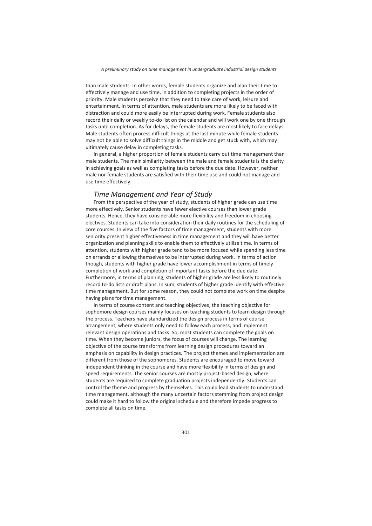than male students. In other words, female students organize and plan their time to effectively manage and use time, in addition to completing projects in the order of priority. Male students perceive that they need to take care of work, leisure and entertainment. In terms of attention, male students are more likely to be faced with distraction and could more easily be interrupted during work. Female students also record their daily or weekly to-do list on the calendar and will work one by one through tasks until completion. As for delays, the female students are most likely to face delays. Male students often process difficult things at the last minute while female students may not be able to solve difficult things in the middle and get stuck with, which may ultimately cause delay in completing tasks.

In general, a higher proportion of female students carry out time management than male students. The main similarity between the male and female students is the clarity in achieving goals as well as completing tasks before the due date. However, neither male nor female students are satisfied with their time use and could not manage and use time effectively.

### *Time Management and Year of Study*

From the perspective of the year of study, students of higher grade can use time more effectively. Senior students have fewer elective courses than lower grade students. Hence, they have considerable more flexibility and freedom in choosing electives. Students can take into consideration their daily routines for the scheduling of core courses. In view of the five factors of time management, students with more seniority present higher effectiveness in time management and they will have better organization and planning skills to enable them to effectively utilize time. In terms of attention, students with higher grade tend to be more focused while spending less time on errands or allowing themselves to be interrupted during work. In terms of action though, students with higher grade have lower accomplishment in terms of timely completion of work and completion of important tasks before the due date. Furthermore, in terms of planning, students of higher grade are less likely to routinely record to-do lists or draft plans. In sum, students of higher grade identify with effective time management. But for some reason, they could not complete work on time despite having plans for time management.

In terms of course content and teaching objectives, the teaching objective for sophomore design courses mainly focuses on teaching students to learn design through the process. Teachers have standardized the design process in terms of course arrangement, where students only need to follow each process, and implement relevant design operations and tasks. So, most students can complete the goals on time. When they become juniors, the focus of courses will change. The learning objective of the course transforms from learning design procedures toward an emphasis on capability in design practices. The project themes and implementation are different from those of the sophomores. Students are encouraged to move toward independent thinking in the course and have more flexibility in terms of design and speed requirements. The senior courses are mostly project-based design, where students are required to complete graduation projects independently. Students can control the theme and progress by themselves. This could lead students to understand time management, although the many uncertain factors stemming from project design could make it hard to follow the original schedule and therefore impede progress to complete all tasks on time.